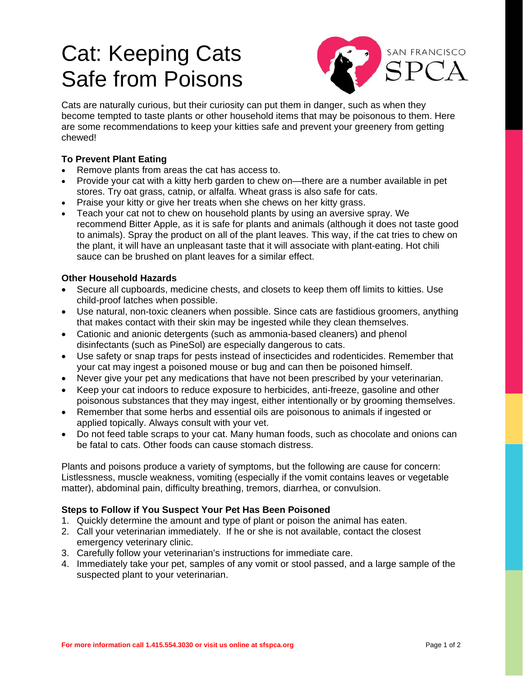# Cat: Keeping Cats Safe from Poisons



Cats are naturally curious, but their curiosity can put them in danger, such as when they become tempted to taste plants or other household items that may be poisonous to them. Here are some recommendations to keep your kitties safe and prevent your greenery from getting chewed!

## **To Prevent Plant Eating**

- Remove plants from areas the cat has access to.
- Provide your cat with a kitty herb garden to chew on—there are a number available in pet stores. Try oat grass, catnip, or alfalfa. Wheat grass is also safe for cats.
- Praise your kitty or give her treats when she chews on her kitty grass.
- Teach your cat not to chew on household plants by using an aversive spray. We recommend Bitter Apple, as it is safe for plants and animals (although it does not taste good to animals). Spray the product on all of the plant leaves. This way, if the cat tries to chew on the plant, it will have an unpleasant taste that it will associate with plant-eating. Hot chili sauce can be brushed on plant leaves for a similar effect.

## **Other Household Hazards**

- Secure all cupboards, medicine chests, and closets to keep them off limits to kitties. Use child-proof latches when possible.
- Use natural, non-toxic cleaners when possible. Since cats are fastidious groomers, anything that makes contact with their skin may be ingested while they clean themselves.
- Cationic and anionic detergents (such as ammonia-based cleaners) and phenol disinfectants (such as PineSol) are especially dangerous to cats.
- Use safety or snap traps for pests instead of insecticides and rodenticides. Remember that your cat may ingest a poisoned mouse or bug and can then be poisoned himself.
- Never give your pet any medications that have not been prescribed by your veterinarian.
- Keep your cat indoors to reduce exposure to herbicides, anti-freeze, gasoline and other poisonous substances that they may ingest, either intentionally or by grooming themselves.
- Remember that some herbs and essential oils are poisonous to animals if ingested or applied topically. Always consult with your vet.
- Do not feed table scraps to your cat. Many human foods, such as chocolate and onions can be fatal to cats. Other foods can cause stomach distress.

Plants and poisons produce a variety of symptoms, but the following are cause for concern: Listlessness, muscle weakness, vomiting (especially if the vomit contains leaves or vegetable matter), abdominal pain, difficulty breathing, tremors, diarrhea, or convulsion.

## **Steps to Follow if You Suspect Your Pet Has Been Poisoned**

- 1. Quickly determine the amount and type of plant or poison the animal has eaten.
- 2. Call your veterinarian immediately. If he or she is not available, contact the closest emergency veterinary clinic.
- 3. Carefully follow your veterinarian's instructions for immediate care.
- 4. Immediately take your pet, samples of any vomit or stool passed, and a large sample of the suspected plant to your veterinarian.